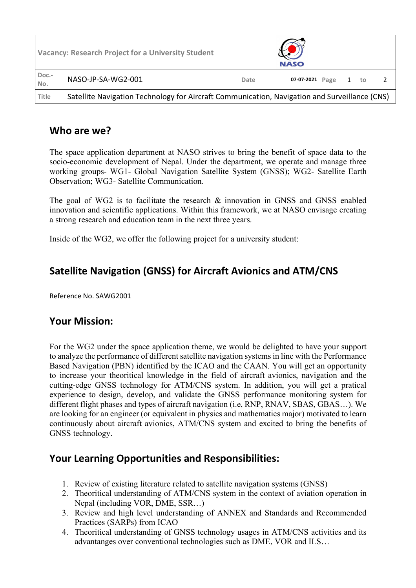| <b>Vacancy: Research Project for a University Student</b> |                                                                                               |      | <b>NASO</b> |      |   |    |  |
|-----------------------------------------------------------|-----------------------------------------------------------------------------------------------|------|-------------|------|---|----|--|
| Doc.-<br>No.                                              | NASO-JP-SA-WG2-001                                                                            | Date | 07-07-2021  | Page | 1 | to |  |
| <b>Title</b>                                              | Satellite Navigation Technology for Aircraft Communication, Navigation and Surveillance (CNS) |      |             |      |   |    |  |

#### **Who are we?**

The space application department at NASO strives to bring the benefit of space data to the socio-economic development of Nepal. Under the department, we operate and manage three working groups- WG1- Global Navigation Satellite System (GNSS); WG2- Satellite Earth Observation; WG3- Satellite Communication.

The goal of WG2 is to facilitate the research & innovation in GNSS and GNSS enabled innovation and scientific applications. Within this framework, we at NASO envisage creating a strong research and education team in the next three years.

Inside of the WG2, we offer the following project for a university student:

## **Satellite Navigation (GNSS) for Aircraft Avionics and ATM/CNS**

Reference No. SAWG2001

## **Your Mission:**

For the WG2 under the space application theme, we would be delighted to have your support to analyze the performance of different satellite navigation systemsin line with the Performance Based Navigation (PBN) identified by the ICAO and the CAAN. You will get an opportunity to increase your theoritical knowledge in the field of aircraft avionics, navigation and the cutting-edge GNSS technology for ATM/CNS system. In addition, you will get a pratical experience to design, develop, and validate the GNSS performance monitoring system for different flight phases and types of aircraft navigation (i.e, RNP, RNAV, SBAS, GBAS…). We are looking for an engineer (or equivalent in physics and mathematics major) motivated to learn continuously about aircraft avionics, ATM/CNS system and excited to bring the benefits of GNSS technology.

## **Your Learning Opportunities and Responsibilities:**

- 1. Review of existing literature related to satellite navigation systems (GNSS)
- 2. Theoritical understanding of ATM/CNS system in the context of aviation operation in Nepal (including VOR, DME, SSR…)
- 3. Review and high level understanding of ANNEX and Standards and Recommended Practices (SARPs) from ICAO
- 4. Theoritical understanding of GNSS technology usages in ATM/CNS activities and its advantanges over conventional technologies such as DME, VOR and ILS…